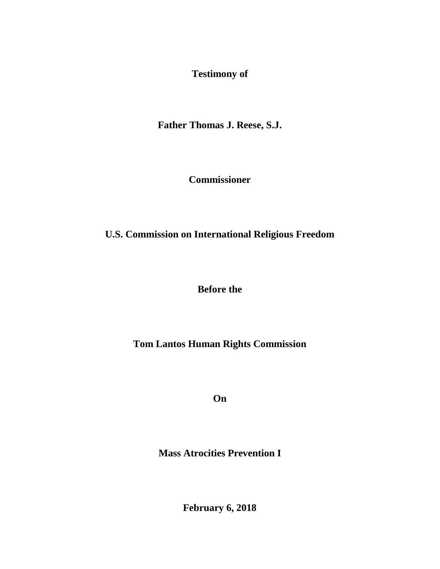**Testimony of** 

**Father Thomas J. Reese, S.J.**

**Commissioner**

**U.S. Commission on International Religious Freedom** 

**Before the** 

**Tom Lantos Human Rights Commission** 

**On** 

**Mass Atrocities Prevention I**

**February 6, 2018**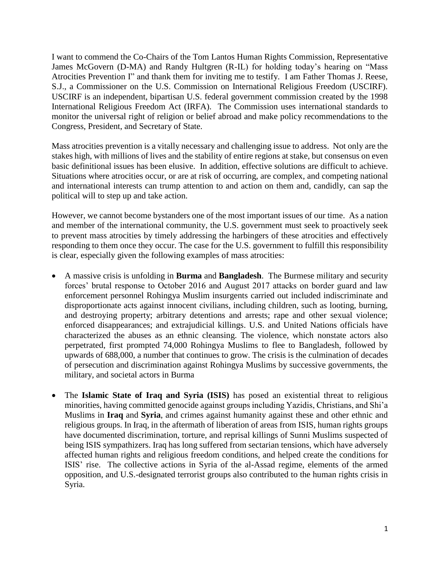I want to commend the Co-Chairs of the Tom Lantos Human Rights Commission, Representative James McGovern (D-MA) and Randy Hultgren (R-IL) for holding today's hearing on "Mass Atrocities Prevention I" and thank them for inviting me to testify. I am Father Thomas J. Reese, S.J., a Commissioner on the U.S. Commission on International Religious Freedom (USCIRF). USCIRF is an independent, bipartisan U.S. federal government commission created by the 1998 International Religious Freedom Act (IRFA). The Commission uses international standards to monitor the universal right of religion or belief abroad and make policy recommendations to the Congress, President, and Secretary of State.

Mass atrocities prevention is a vitally necessary and challenging issue to address. Not only are the stakes high, with millions of lives and the stability of entire regions at stake, but consensus on even basic definitional issues has been elusive. In addition, effective solutions are difficult to achieve. Situations where atrocities occur, or are at risk of occurring, are complex, and competing national and international interests can trump attention to and action on them and, candidly, can sap the political will to step up and take action.

However, we cannot become bystanders one of the most important issues of our time. As a nation and member of the international community, the U.S. government must seek to proactively seek to prevent mass atrocities by timely addressing the harbingers of these atrocities and effectively responding to them once they occur. The case for the U.S. government to fulfill this responsibility is clear, especially given the following examples of mass atrocities:

- A massive crisis is unfolding in **Burma** and **Bangladesh**. The Burmese military and security forces' brutal response to October 2016 and August 2017 attacks on border guard and law enforcement personnel Rohingya Muslim insurgents carried out included indiscriminate and disproportionate acts against innocent civilians, including children, such as looting, burning, and destroying property; arbitrary detentions and arrests; rape and other sexual violence; enforced disappearances; and extrajudicial killings. U.S. and United Nations officials have characterized the abuses as an ethnic cleansing. The violence, which nonstate actors also perpetrated, first prompted 74,000 Rohingya Muslims to flee to Bangladesh, followed by upwards of 688,000, a number that continues to grow. The crisis is the culmination of decades of persecution and discrimination against Rohingya Muslims by successive governments, the military, and societal actors in Burma
- The **Islamic State of Iraq and Syria (ISIS)** has posed an existential threat to religious minorities, having committed genocide against groups including Yazidis, Christians, and Shi'a Muslims in **Iraq** and **Syria**, and crimes against humanity against these and other ethnic and religious groups. In Iraq, in the aftermath of liberation of areas from ISIS, human rights groups have documented discrimination, torture, and reprisal killings of Sunni Muslims suspected of being ISIS sympathizers. Iraq has long suffered from sectarian tensions, which have adversely affected human rights and religious freedom conditions, and helped create the conditions for ISIS' rise. The collective actions in Syria of the al-Assad regime, elements of the armed opposition, and U.S.-designated terrorist groups also contributed to the human rights crisis in Syria.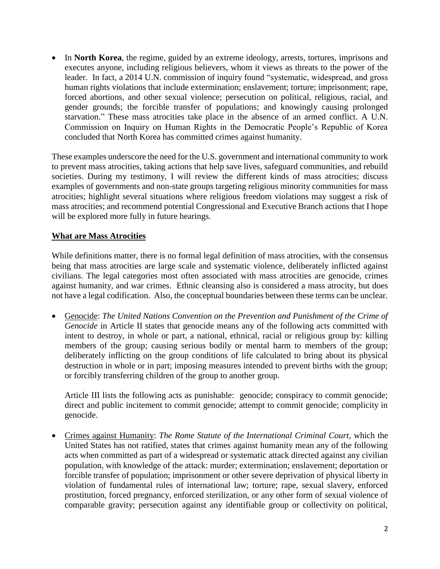• In **North Korea**, the regime, guided by an extreme ideology, arrests, tortures, imprisons and executes anyone, including religious believers, whom it views as threats to the power of the leader. In fact, a 2014 U.N. commission of inquiry found "systematic, widespread, and gross human rights violations that include extermination; enslavement; torture; imprisonment; rape, forced abortions, and other sexual violence; persecution on political, religious, racial, and gender grounds; the forcible transfer of populations; and knowingly causing prolonged starvation." These mass atrocities take place in the absence of an armed conflict. A U.N. Commission on Inquiry on Human Rights in the Democratic People's Republic of Korea concluded that North Korea has committed crimes against humanity.

These examples underscore the need for the U.S. government and international community to work to prevent mass atrocities, taking actions that help save lives, safeguard communities, and rebuild societies. During my testimony, I will review the different kinds of mass atrocities; discuss examples of governments and non-state groups targeting religious minority communities for mass atrocities; highlight several situations where religious freedom violations may suggest a risk of mass atrocities; and recommend potential Congressional and Executive Branch actions that I hope will be explored more fully in future hearings.

## **What are Mass Atrocities**

While definitions matter, there is no formal legal definition of mass atrocities, with the consensus being that mass atrocities are large scale and systematic violence, deliberately inflicted against civilians. The legal categories most often associated with mass atrocities are genocide, crimes against humanity, and war crimes. Ethnic cleansing also is considered a mass atrocity, but does not have a legal codification. Also, the conceptual boundaries between these terms can be unclear.

• Genocide: *The United Nations Convention on the Prevention and Punishment of the Crime of Genocide* in Article II states that genocide means any of the following acts committed with intent to destroy, in whole or part, a national, ethnical, racial or religious group by: killing members of the group; causing serious bodily or mental harm to members of the group; deliberately inflicting on the group conditions of life calculated to bring about its physical destruction in whole or in part; imposing measures intended to prevent births with the group; or forcibly transferring children of the group to another group.

Article III lists the following acts as punishable: genocide; conspiracy to commit genocide; direct and public incitement to commit genocide; attempt to commit genocide; complicity in genocide.

• Crimes against Humanity: *The Rome Statute of the International Criminal Court*, which the United States has not ratified, states that crimes against humanity mean any of the following acts when committed as part of a widespread or systematic attack directed against any civilian population, with knowledge of the attack: murder; extermination; enslavement; deportation or forcible transfer of population; imprisonment or other severe deprivation of physical liberty in violation of fundamental rules of international law; torture; rape, sexual slavery, enforced prostitution, forced pregnancy, enforced sterilization, or any other form of sexual violence of comparable gravity; persecution against any identifiable group or collectivity on political,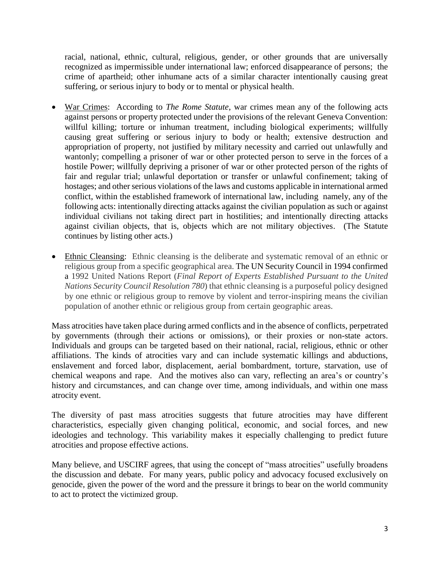racial, national, ethnic, cultural, religious, gender, or other grounds that are universally recognized as impermissible under international law; enforced disappearance of persons; the crime of apartheid; other inhumane acts of a similar character intentionally causing great suffering, or serious injury to body or to mental or physical health.

- War Crimes: According to *The Rome Statute*, war crimes mean any of the following acts against persons or property protected under the provisions of the relevant Geneva Convention: willful killing; torture or inhuman treatment, including biological experiments; willfully causing great suffering or serious injury to body or health; extensive destruction and appropriation of property, not justified by military necessity and carried out unlawfully and wantonly; compelling a prisoner of war or other protected person to serve in the forces of a hostile Power; willfully depriving a prisoner of war or other protected person of the rights of fair and regular trial; unlawful deportation or transfer or unlawful confinement; taking of hostages; and other serious violations of the laws and customs applicable in international armed conflict, within the established framework of international law, including namely, any of the following acts: intentionally directing attacks against the civilian population as such or against individual civilians not taking direct part in hostilities; and intentionally directing attacks against civilian objects, that is, objects which are not military objectives. (The Statute continues by listing other acts.)
- Ethnic Cleansing: Ethnic cleansing is the deliberate and systematic removal of an ethnic or religious group from a specific geographical area. The UN Security Council in 1994 confirmed a 1992 United Nations Report (*Final Report of Experts Established Pursuant to the United Nations Security Council Resolution 780*) that ethnic cleansing is a purposeful policy designed by one ethnic or religious group to remove by violent and terror-inspiring means the civilian population of another ethnic or religious group from certain geographic areas.

Mass atrocities have taken place during armed conflicts and in the absence of conflicts, perpetrated by governments (through their actions or omissions), or their proxies or non-state actors. Individuals and groups can be targeted based on their national, racial, religious, ethnic or other affiliations. The kinds of atrocities vary and can include systematic killings and abductions, enslavement and forced labor, displacement, aerial bombardment, torture, starvation, use of chemical weapons and rape. And the motives also can vary, reflecting an area's or country's history and circumstances, and can change over time, among individuals, and within one mass atrocity event.

The diversity of past mass atrocities suggests that future atrocities may have different characteristics, especially given changing political, economic, and social forces, and new ideologies and technology. This variability makes it especially challenging to predict future atrocities and propose effective actions.

Many believe, and USCIRF agrees, that using the concept of "mass atrocities" usefully broadens the discussion and debate. For many years, public policy and advocacy focused exclusively on genocide, given the power of the word and the pressure it brings to bear on the world community to act to protect the victimized group.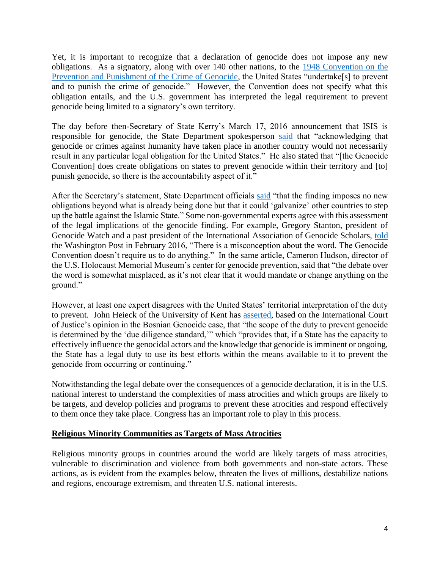Yet, it is important to recognize that a declaration of genocide does not impose any new obligations. As a signatory, along with over 140 other nations, to the [1948 Convention on the](http://www.ohchr.org/EN/ProfessionalInterest/Pages/CrimeOfGenocide.aspx)  [Prevention and Punishment of the Crime of Genocide,](http://www.ohchr.org/EN/ProfessionalInterest/Pages/CrimeOfGenocide.aspx) the United States "undertake[s] to prevent and to punish the crime of genocide." However, the Convention does not specify what this obligation entails, and the U.S. government has interpreted the legal requirement to prevent genocide being limited to a signatory's own territory.

The day before then-Secretary of State Kerry's March 17, 2016 announcement that ISIS is responsible for genocide, the State Department spokesperson [said](https://www.state.gov/r/pa/prs/dpb/2016/03/254764.htm) that "acknowledging that genocide or crimes against humanity have taken place in another country would not necessarily result in any particular legal obligation for the United States." He also stated that "[the Genocide Convention] does create obligations on states to prevent genocide within their territory and [to] punish genocide, so there is the accountability aspect of it."

After the Secretary's statement, State Department officials [said](https://www.washingtonpost.com/world/national-security/kerry-declares-islamic-state-has-committed-genocide/2016/03/17/35eaa5e6-ec3e-11e5-a6f3-21ccdbc5f74e_story.html?utm_term=.9ec7c03a31da) "that the finding imposes no new obligations beyond what is already being done but that it could 'galvanize' other countries to step up the battle against the Islamic State." Some non-governmental experts agree with this assessment of the legal implications of the genocide finding. For example, Gregory Stanton, president of Genocide Watch and a past president of the International Association of Genocide Scholars, [told](https://www.washingtonpost.com/news/acts-of-faith/wp/2016/02/24/some-are-pushing-to-call-the-islamic-states-actions-genocide-what-would-that-mean/?utm_term=.752e0b2dd979) the Washington Post in February 2016, "There is a misconception about the word. The Genocide Convention doesn't require us to do anything." In the same article, Cameron Hudson, director of the U.S. Holocaust Memorial Museum's center for genocide prevention, said that "the debate over the word is somewhat misplaced, as it's not clear that it would mandate or change anything on the ground."

However, at least one expert disagrees with the United States' territorial interpretation of the duty to prevent. John Heieck of the University of Kent has [asserted,](http://opiniojuris.org/2016/04/06/daesh-and-the-duty-to-prevent-genocide/) based on the International Court of Justice's opinion in the Bosnian Genocide case, that "the scope of the duty to prevent genocide is determined by the 'due diligence standard,'" which "provides that, if a State has the capacity to effectively influence the genocidal actors and the knowledge that genocide is imminent or ongoing, the State has a legal duty to use its best efforts within the means available to it to prevent the genocide from occurring or continuing."

Notwithstanding the legal debate over the consequences of a genocide declaration, it is in the U.S. national interest to understand the complexities of mass atrocities and which groups are likely to be targets, and develop policies and programs to prevent these atrocities and respond effectively to them once they take place. Congress has an important role to play in this process.

## **Religious Minority Communities as Targets of Mass Atrocities**

Religious minority groups in countries around the world are likely targets of mass atrocities, vulnerable to discrimination and violence from both governments and non-state actors. These actions, as is evident from the examples below, threaten the lives of millions, destabilize nations and regions, encourage extremism, and threaten U.S. national interests.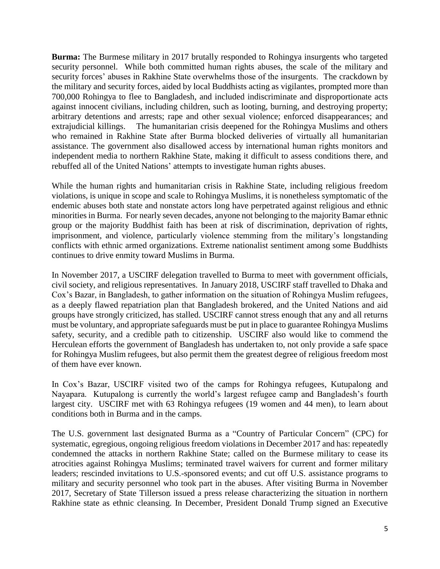**Burma:** The Burmese military in 2017 brutally responded to Rohingya insurgents who targeted security personnel. While both committed human rights abuses, the scale of the military and security forces' abuses in Rakhine State overwhelms those of the insurgents. The crackdown by the military and security forces, aided by local Buddhists acting as vigilantes, prompted more than 700,000 Rohingya to flee to Bangladesh, and included indiscriminate and disproportionate acts against innocent civilians, including children, such as looting, burning, and destroying property; arbitrary detentions and arrests; rape and other sexual violence; enforced disappearances; and extrajudicial killings. The humanitarian crisis deepened for the Rohingya Muslims and others who remained in Rakhine State after Burma blocked deliveries of virtually all humanitarian assistance. The government also disallowed access by international human rights monitors and independent media to northern Rakhine State, making it difficult to assess conditions there, and rebuffed all of the United Nations' attempts to investigate human rights abuses.

While the human rights and humanitarian crisis in Rakhine State, including religious freedom violations, is unique in scope and scale to Rohingya Muslims, it is nonetheless symptomatic of the endemic abuses both state and nonstate actors long have perpetrated against religious and ethnic minorities in Burma. For nearly seven decades, anyone not belonging to the majority Bamar ethnic group or the majority Buddhist faith has been at risk of discrimination, deprivation of rights, imprisonment, and violence, particularly violence stemming from the military's longstanding conflicts with ethnic armed organizations. Extreme nationalist sentiment among some Buddhists continues to drive enmity toward Muslims in Burma.

In November 2017, a USCIRF delegation travelled to Burma to meet with government officials, civil society, and religious representatives. In January 2018, USCIRF staff travelled to Dhaka and Cox's Bazar, in Bangladesh, to gather information on the situation of Rohingya Muslim refugees, as a deeply flawed repatriation plan that Bangladesh brokered, and the United Nations and aid groups have strongly criticized, has stalled. USCIRF cannot stress enough that any and all returns must be voluntary, and appropriate safeguards must be put in place to guarantee Rohingya Muslims safety, security, and a credible path to citizenship. USCIRF also would like to commend the Herculean efforts the government of Bangladesh has undertaken to, not only provide a safe space for Rohingya Muslim refugees, but also permit them the greatest degree of religious freedom most of them have ever known.

In Cox's Bazar, USCIRF visited two of the camps for Rohingya refugees, Kutupalong and Nayapara. Kutupalong is currently the world's largest refugee camp and Bangladesh's fourth largest city. USCIRF met with 63 Rohingya refugees (19 women and 44 men), to learn about conditions both in Burma and in the camps.

The U.S. government last designated Burma as a "Country of Particular Concern" (CPC) for systematic, egregious, ongoing religious freedom violations in December 2017 and has: repeatedly condemned the attacks in northern Rakhine State; called on the Burmese military to cease its atrocities against Rohingya Muslims; terminated travel waivers for current and former military leaders; rescinded invitations to U.S.-sponsored events; and cut off U.S. assistance programs to military and security personnel who took part in the abuses. After visiting Burma in November 2017, Secretary of State Tillerson issued a press release characterizing the situation in northern Rakhine state as ethnic cleansing. In December, President Donald Trump signed an Executive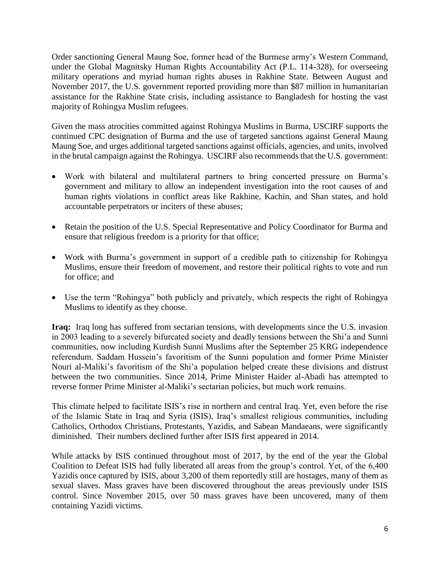Order sanctioning General Maung Soe, former head of the Burmese army's Western Command, under the Global Magnitsky Human Rights Accountability Act (P.L. 114-328), for overseeing military operations and myriad human rights abuses in Rakhine State. Between August and November 2017, the U.S. government reported providing more than \$87 million in humanitarian assistance for the Rakhine State crisis, including assistance to Bangladesh for hosting the vast majority of Rohingya Muslim refugees.

Given the mass atrocities committed against Rohingya Muslims in Burma, USCIRF supports the continued CPC designation of Burma and the use of targeted sanctions against General Maung Maung Soe, and urges additional targeted sanctions against officials, agencies, and units, involved in the brutal campaign against the Rohingya. USCIRF also recommends that the U.S. government:

- Work with bilateral and multilateral partners to bring concerted pressure on Burma's government and military to allow an independent investigation into the root causes of and human rights violations in conflict areas like Rakhine, Kachin, and Shan states, and hold accountable perpetrators or inciters of these abuses;
- Retain the position of the U.S. Special Representative and Policy Coordinator for Burma and ensure that religious freedom is a priority for that office;
- Work with Burma's government in support of a credible path to citizenship for Rohingya Muslims, ensure their freedom of movement, and restore their political rights to vote and run for office; and
- Use the term "Rohingya" both publicly and privately, which respects the right of Rohingya Muslims to identify as they choose.

**Iraq:** Iraq long has suffered from sectarian tensions, with developments since the U.S. invasion in 2003 leading to a severely bifurcated society and deadly tensions between the Shi'a and Sunni communities, now including Kurdish Sunni Muslims after the September 25 KRG independence referendum. Saddam Hussein's favoritism of the Sunni population and former Prime Minister Nouri al-Maliki's favoritism of the Shi'a population helped create these divisions and distrust between the two communities. Since 2014, Prime Minister Haider al-Abadi has attempted to reverse former Prime Minister al-Maliki's sectarian policies, but much work remains.

This climate helped to facilitate ISIS's rise in northern and central Iraq. Yet, even before the rise of the Islamic State in Iraq and Syria (ISIS), Iraq's smallest religious communities, including Catholics, Orthodox Christians, Protestants, Yazidis, and Sabean Mandaeans, were significantly diminished. Their numbers declined further after ISIS first appeared in 2014.

While attacks by ISIS continued throughout most of 2017, by the end of the year the Global Coalition to Defeat ISIS had fully liberated all areas from the group's control. Yet, of the 6,400 Yazidis once captured by ISIS, about 3,200 of them reportedly still are hostages, many of them as sexual slaves. Mass graves have been discovered throughout the areas previously under ISIS control. Since November 2015, over 50 mass graves have been uncovered, many of them containing Yazidi victims.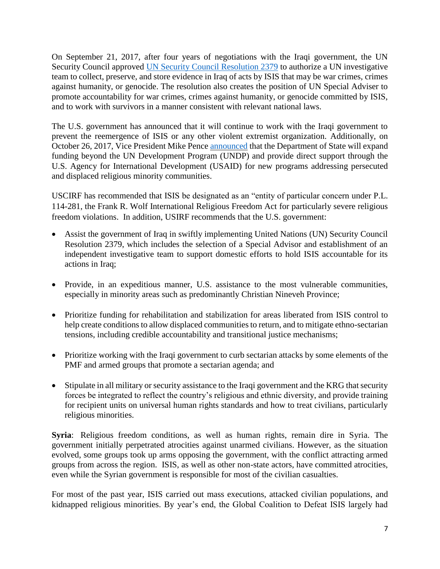On September 21, 2017, after four years of negotiations with the Iraqi government, the UN Security Council approved [UN Security Council Resolution 2379](http://unscr.com/en/resolutions/doc/2379) to authorize a UN investigative team to collect, preserve, and store evidence in Iraq of acts by ISIS that may be war crimes, crimes against humanity, or genocide. The resolution also creates the position of UN Special Adviser to promote accountability for war crimes, crimes against humanity, or genocide committed by ISIS, and to work with survivors in a manner consistent with relevant national laws.

The U.S. government has announced that it will continue to work with the Iraqi government to prevent the reemergence of ISIS or any other violent extremist organization. Additionally, on October 26, 2017, Vice President Mike Pence [announced](https://www.whitehouse.gov/briefings-statements/remarks-vice-president-defense-christians-solidarity-dinner/) that the Department of State will expand funding beyond the UN Development Program (UNDP) and provide direct support through the U.S. Agency for International Development (USAID) for new programs addressing persecuted and displaced religious minority communities.

USCIRF has recommended that ISIS be designated as an "entity of particular concern under P.L. 114-281, the Frank R. Wolf International Religious Freedom Act for particularly severe religious freedom violations. In addition, USIRF recommends that the U.S. government:

- Assist the government of Iraq in swiftly implementing United Nations (UN) Security Council Resolution 2379, which includes the selection of a Special Advisor and establishment of an independent investigative team to support domestic efforts to hold ISIS accountable for its actions in Iraq;
- Provide, in an expeditious manner, U.S. assistance to the most vulnerable communities, especially in minority areas such as predominantly Christian Nineveh Province;
- Prioritize funding for rehabilitation and stabilization for areas liberated from ISIS control to help create conditions to allow displaced communities to return, and to mitigate ethno-sectarian tensions, including credible accountability and transitional justice mechanisms;
- Prioritize working with the Iraqi government to curb sectarian attacks by some elements of the PMF and armed groups that promote a sectarian agenda; and
- Stipulate in all military or security assistance to the Iraqi government and the KRG that security forces be integrated to reflect the country's religious and ethnic diversity, and provide training for recipient units on universal human rights standards and how to treat civilians, particularly religious minorities.

**Syria**: Religious freedom conditions, as well as human rights, remain dire in Syria. The government initially perpetrated atrocities against unarmed civilians. However, as the situation evolved, some groups took up arms opposing the government, with the conflict attracting armed groups from across the region. ISIS, as well as other non-state actors, have committed atrocities, even while the Syrian government is responsible for most of the civilian casualties.

For most of the past year, ISIS carried out mass executions, attacked civilian populations, and kidnapped religious minorities. By year's end, the Global Coalition to Defeat ISIS largely had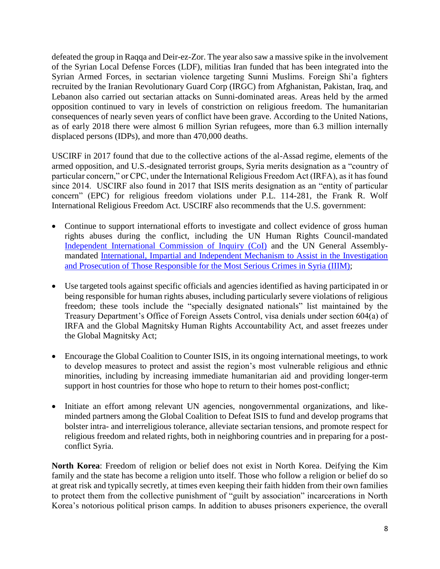defeated the group in Raqqa and Deir-ez-Zor. The year also saw a massive spike in the involvement of the Syrian Local Defense Forces (LDF), militias Iran funded that has been integrated into the Syrian Armed Forces, in sectarian violence targeting Sunni Muslims. Foreign Shi'a fighters recruited by the Iranian Revolutionary Guard Corp (IRGC) from Afghanistan, Pakistan, Iraq, and Lebanon also carried out sectarian attacks on Sunni-dominated areas. Areas held by the armed opposition continued to vary in levels of constriction on religious freedom. The humanitarian consequences of nearly seven years of conflict have been grave. According to the United Nations, as of early 2018 there were almost 6 million Syrian refugees, more than 6.3 million internally displaced persons (IDPs), and more than 470,000 deaths.

USCIRF in 2017 found that due to the collective actions of the al-Assad regime, elements of the armed opposition, and U.S.-designated terrorist groups, Syria merits designation as a "country of particular concern," or CPC, under the International Religious Freedom Act (IRFA), as it has found since 2014. USCIRF also found in 2017 that ISIS merits designation as an "entity of particular concern" (EPC) for religious freedom violations under P.L. 114-281, the Frank R. Wolf International Religious Freedom Act. USCIRF also recommends that the U.S. government:

- Continue to support international efforts to investigate and collect evidence of gross human rights abuses during the conflict, including the UN Human Rights Council-mandated [Independent International Commission of Inquiry \(CoI\)](http://www.ohchr.org/EN/HRBodies/HRC/IICISyria/Pages/IndependentInternationalCommission.aspx) and the UN General Assemblymandated [International, Impartial and Independent Mechanism to Assist in the Investigation](https://www.un.org/ga/search/view_doc.asp?symbol=A/71/L.48)  [and Prosecution of Those Responsible for the Most Serious Crimes in Syria \(IIIM\);](https://www.un.org/ga/search/view_doc.asp?symbol=A/71/L.48)
- Use targeted tools against specific officials and agencies identified as having participated in or being responsible for human rights abuses, including particularly severe violations of religious freedom; these tools include the "specially designated nationals" list maintained by the Treasury Department's Office of Foreign Assets Control, visa denials under section 604(a) of IRFA and the Global Magnitsky Human Rights Accountability Act, and asset freezes under the Global Magnitsky Act;
- Encourage the Global Coalition to Counter ISIS, in its ongoing international meetings, to work to develop measures to protect and assist the region's most vulnerable religious and ethnic minorities, including by increasing immediate humanitarian aid and providing longer-term support in host countries for those who hope to return to their homes post-conflict;
- Initiate an effort among relevant UN agencies, nongovernmental organizations, and likeminded partners among the Global Coalition to Defeat ISIS to fund and develop programs that bolster intra- and interreligious tolerance, alleviate sectarian tensions, and promote respect for religious freedom and related rights, both in neighboring countries and in preparing for a postconflict Syria.

**North Korea**: Freedom of religion or belief does not exist in North Korea. Deifying the Kim family and the state has become a religion unto itself. Those who follow a religion or belief do so at great risk and typically secretly, at times even keeping their faith hidden from their own families to protect them from the collective punishment of "guilt by association" incarcerations in North Korea's notorious political prison camps. In addition to abuses prisoners experience, the overall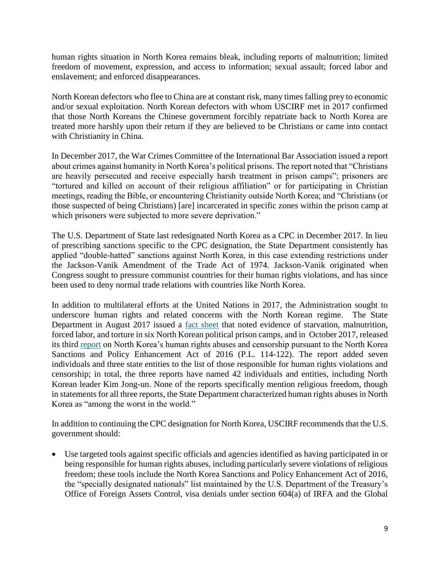human rights situation in North Korea remains bleak, including reports of malnutrition; limited freedom of movement, expression, and access to information; sexual assault; forced labor and enslavement; and enforced disappearances.

North Korean defectors who flee to China are at constant risk, many times falling prey to economic and/or sexual exploitation. North Korean defectors with whom USCIRF met in 2017 confirmed that those North Koreans the Chinese government forcibly repatriate back to North Korea are treated more harshly upon their return if they are believed to be Christians or came into contact with Christianity in China.

In December 2017, the War Crimes Committee of the International Bar Association issued a report about crimes against humanity in North Korea's political prisons. The report noted that "Christians are heavily persecuted and receive especially harsh treatment in prison camps"; prisoners are "tortured and killed on account of their religious affiliation" or for participating in Christian meetings, reading the Bible, or encountering Christianity outside North Korea; and "Christians (or those suspected of being Christians) [are] incarcerated in specific zones within the prison camp at which prisoners were subjected to more severe deprivation."

The U.S. Department of State last redesignated North Korea as a CPC in December 2017. In lieu of prescribing sanctions specific to the CPC designation, the State Department consistently has applied "double-hatted" sanctions against North Korea, in this case extending restrictions under the Jackson-Vanik Amendment of the Trade Act of 1974. Jackson-Vanik originated when Congress sought to pressure communist countries for their human rights violations, and has since been used to deny normal trade relations with countries like North Korea.

In addition to multilateral efforts at the United Nations in 2017, the Administration sought to underscore human rights and related concerns with the North Korean regime. The State Department in August 2017 issued a [fact sheet](https://www.state.gov/j/drl/rls/fs/2017/273647.htm) that noted evidence of starvation, malnutrition, forced labor, and torture in six North Korean political prison camps, and in October 2017, released its third [report](https://www.state.gov/j/drl/rls/275095.htm) on North Korea's human rights abuses and censorship pursuant to the North Korea Sanctions and Policy Enhancement Act of 2016 (P.L. 114-122). The report added seven individuals and three state entities to the list of those responsible for human rights violations and censorship; in total, the three reports have named 42 individuals and entities, including North Korean leader Kim Jong-un. None of the reports specifically mention religious freedom, though in statements for all three reports, the State Department characterized human rights abuses in North Korea as "among the worst in the world."

In addition to continuing the CPC designation for North Korea, USCIRF recommends that the U.S. government should:

• Use targeted tools against specific officials and agencies identified as having participated in or being responsible for human rights abuses, including particularly severe violations of religious freedom; these tools include the North Korea Sanctions and Policy Enhancement Act of 2016, the "specially designated nationals" list maintained by the U.S. Department of the Treasury's Office of Foreign Assets Control, visa denials under section 604(a) of IRFA and the Global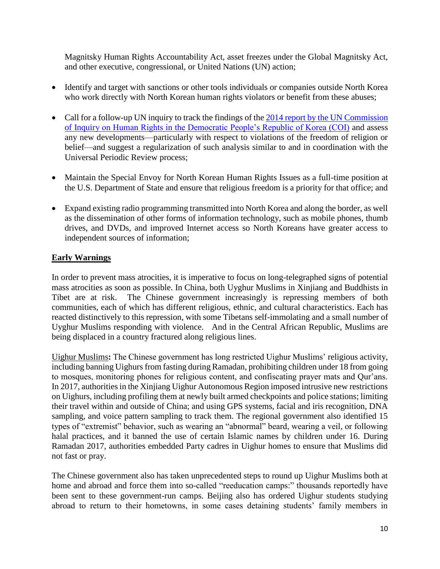Magnitsky Human Rights Accountability Act, asset freezes under the Global Magnitsky Act, and other executive, congressional, or United Nations (UN) action;

- Identify and target with sanctions or other tools individuals or companies outside North Korea who work directly with North Korean human rights violators or benefit from these abuses;
- Call for a follow-up UN inquiry to track the findings of the 2014 report by the UN Commission [of Inquiry on Human Rights in the Democratic People's Republic of Korea \(COI\)](http://www.ohchr.org/EN/HRBodies/HRC/CoIDPRK/Pages/ReportoftheCommissionofInquiryDPRK.aspx) and assess any new developments—particularly with respect to violations of the freedom of religion or belief—and suggest a regularization of such analysis similar to and in coordination with the Universal Periodic Review process;
- Maintain the Special Envoy for North Korean Human Rights Issues as a full-time position at the U.S. Department of State and ensure that religious freedom is a priority for that office; and
- Expand existing radio programming transmitted into North Korea and along the border, as well as the dissemination of other forms of information technology, such as mobile phones, thumb drives, and DVDs, and improved Internet access so North Koreans have greater access to independent sources of information;

## **Early Warnings**

In order to prevent mass atrocities, it is imperative to focus on long-telegraphed signs of potential mass atrocities as soon as possible. In China, both Uyghur Muslims in Xinjiang and Buddhists in Tibet are at risk. The Chinese government increasingly is repressing members of both communities, each of which has different religious, ethnic, and cultural characteristics. Each has reacted distinctively to this repression, with some Tibetans self-immolating and a small number of Uyghur Muslims responding with violence. And in the Central African Republic, Muslims are being displaced in a country fractured along religious lines.

Uighur Muslims**:** The Chinese government has long restricted Uighur Muslims' religious activity, including banning Uighurs from fasting during Ramadan, prohibiting children under 18 from going to mosques, monitoring phones for religious content, and confiscating prayer mats and Qur'ans. In 2017, authorities in the Xinjiang Uighur Autonomous Region imposed intrusive new restrictions on Uighurs, including profiling them at newly built armed checkpoints and police stations; limiting their travel within and outside of China; and using GPS systems, facial and iris recognition, DNA sampling, and voice pattern sampling to track them. The regional government also identified 15 types of "extremist" behavior, such as wearing an "abnormal" beard, wearing a veil, or following halal practices, and it banned the use of certain Islamic names by children under 16. During Ramadan 2017, authorities embedded Party cadres in Uighur homes to ensure that Muslims did not fast or pray.

The Chinese government also has taken unprecedented steps to round up Uighur Muslims both at home and abroad and force them into so-called "reeducation camps:" thousands reportedly have been sent to these government-run camps. Beijing also has ordered Uighur students studying abroad to return to their hometowns, in some cases detaining students' family members in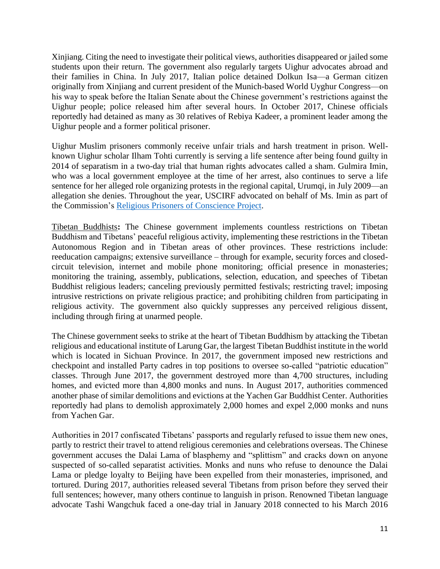Xinjiang. Citing the need to investigate their political views, authorities disappeared or jailed some students upon their return. The government also regularly targets Uighur advocates abroad and their families in China. In July 2017, Italian police detained Dolkun Isa—a German citizen originally from Xinjiang and current president of the Munich-based World Uyghur Congress—on his way to speak before the Italian Senate about the Chinese government's restrictions against the Uighur people; police released him after several hours. In October 2017, Chinese officials reportedly had detained as many as 30 relatives of Rebiya Kadeer, a prominent leader among the Uighur people and a former political prisoner.

Uighur Muslim prisoners commonly receive unfair trials and harsh treatment in prison. Wellknown Uighur scholar Ilham Tohti currently is serving a life sentence after being found guilty in 2014 of separatism in a two-day trial that human rights advocates called a sham. Gulmira Imin, who was a local government employee at the time of her arrest, also continues to serve a life sentence for her alleged role organizing protests in the regional capital, Urumqi, in July 2009—an allegation she denies. Throughout the year, USCIRF advocated on behalf of Ms. Imin as part of the Commission's [Religious Prisoners of Conscience Project.](http://www.uscirf.gov/uscirfs-religious-prisoners-conscience-project)

Tibetan Buddhists**:** The Chinese government implements countless restrictions on Tibetan Buddhism and Tibetans' peaceful religious activity, implementing these restrictions in the Tibetan Autonomous Region and in Tibetan areas of other provinces. These restrictions include: reeducation campaigns; extensive surveillance – through for example, security forces and closedcircuit television, internet and mobile phone monitoring; official presence in monasteries; monitoring the training, assembly, publications, selection, education, and speeches of Tibetan Buddhist religious leaders; canceling previously permitted festivals; restricting travel; imposing intrusive restrictions on private religious practice; and prohibiting children from participating in religious activity. The government also quickly suppresses any perceived religious dissent, including through firing at unarmed people.

The Chinese government seeks to strike at the heart of Tibetan Buddhism by attacking the Tibetan religious and educational institute of Larung Gar, the largest Tibetan Buddhist institute in the world which is located in Sichuan Province. In 2017, the government imposed new restrictions and checkpoint and installed Party cadres in top positions to oversee so-called "patriotic education" classes. Through June 2017, the government destroyed more than 4,700 structures, including homes, and evicted more than 4,800 monks and nuns. In August 2017, authorities commenced another phase of similar demolitions and evictions at the Yachen Gar Buddhist Center. Authorities reportedly had plans to demolish approximately 2,000 homes and expel 2,000 monks and nuns from Yachen Gar.

Authorities in 2017 confiscated Tibetans' passports and regularly refused to issue them new ones, partly to restrict their travel to attend religious ceremonies and celebrations overseas. The Chinese government accuses the Dalai Lama of blasphemy and "splittism" and cracks down on anyone suspected of so-called separatist activities. Monks and nuns who refuse to denounce the Dalai Lama or pledge loyalty to Beijing have been expelled from their monasteries, imprisoned, and tortured. During 2017, authorities released several Tibetans from prison before they served their full sentences; however, many others continue to languish in prison. Renowned Tibetan language advocate Tashi Wangchuk faced a one-day trial in January 2018 connected to his March 2016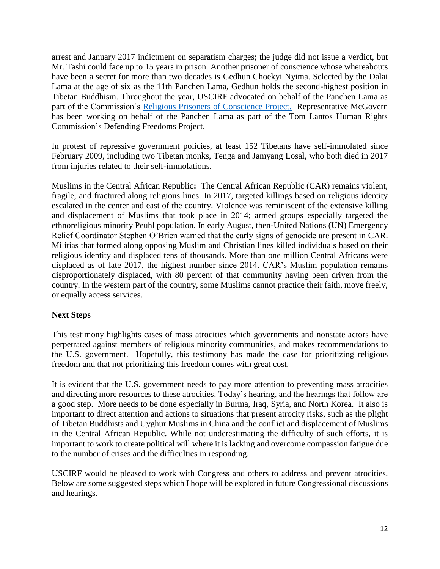arrest and January 2017 indictment on separatism charges; the judge did not issue a verdict, but Mr. Tashi could face up to 15 years in prison. Another prisoner of conscience whose whereabouts have been a secret for more than two decades is Gedhun Choekyi Nyima. Selected by the Dalai Lama at the age of six as the 11th Panchen Lama, Gedhun holds the second-highest position in Tibetan Buddhism. Throughout the year, USCIRF advocated on behalf of the Panchen Lama as part of the Commission's [Religious Prisoners of Conscience Project.](http://www.uscirf.gov/uscirfs-religious-prisoners-conscience-project) Representative McGovern has been working on behalf of the Panchen Lama as part of the Tom Lantos Human Rights Commission's Defending Freedoms Project.

In protest of repressive government policies, at least 152 Tibetans have self-immolated since February 2009, including two Tibetan monks, Tenga and Jamyang Losal, who both died in 2017 from injuries related to their self-immolations.

Muslims in the Central African Republic**:** The Central African Republic (CAR) remains violent, fragile, and fractured along religious lines. In 2017, targeted killings based on religious identity escalated in the center and east of the country. Violence was reminiscent of the extensive killing and displacement of Muslims that took place in 2014; armed groups especially targeted the ethnoreligious minority Peuhl population. In early August, then-United Nations (UN) Emergency Relief Coordinator Stephen O'Brien warned that the early signs of genocide are present in CAR. Militias that formed along opposing Muslim and Christian lines killed individuals based on their religious identity and displaced tens of thousands. More than one million Central Africans were displaced as of late 2017, the highest number since 2014. CAR's Muslim population remains disproportionately displaced, with 80 percent of that community having been driven from the country. In the western part of the country, some Muslims cannot practice their faith, move freely, or equally access services.

## **Next Steps**

This testimony highlights cases of mass atrocities which governments and nonstate actors have perpetrated against members of religious minority communities, and makes recommendations to the U.S. government. Hopefully, this testimony has made the case for prioritizing religious freedom and that not prioritizing this freedom comes with great cost.

It is evident that the U.S. government needs to pay more attention to preventing mass atrocities and directing more resources to these atrocities. Today's hearing, and the hearings that follow are a good step. More needs to be done especially in Burma, Iraq, Syria, and North Korea. It also is important to direct attention and actions to situations that present atrocity risks, such as the plight of Tibetan Buddhists and Uyghur Muslims in China and the conflict and displacement of Muslims in the Central African Republic. While not underestimating the difficulty of such efforts, it is important to work to create political will where it is lacking and overcome compassion fatigue due to the number of crises and the difficulties in responding.

USCIRF would be pleased to work with Congress and others to address and prevent atrocities. Below are some suggested steps which I hope will be explored in future Congressional discussions and hearings.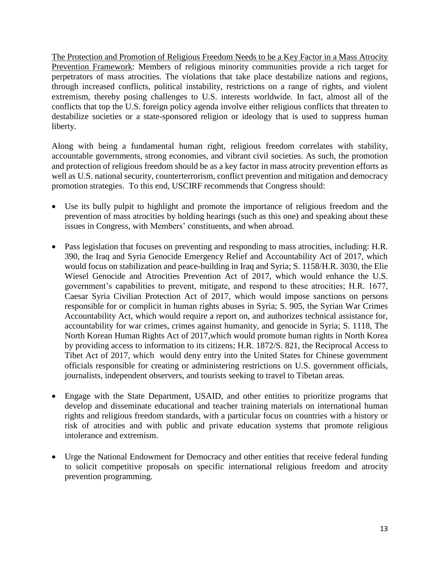The Protection and Promotion of Religious Freedom Needs to be a Key Factor in a Mass Atrocity Prevention Framework: Members of religious minority communities provide a rich target for perpetrators of mass atrocities. The violations that take place destabilize nations and regions, through increased conflicts, political instability, restrictions on a range of rights, and violent extremism, thereby posing challenges to U.S. interests worldwide. In fact, almost all of the conflicts that top the U.S. foreign policy agenda involve either religious conflicts that threaten to destabilize societies or a state-sponsored religion or ideology that is used to suppress human liberty.

Along with being a fundamental human right, religious freedom correlates with stability, accountable governments, strong economies, and vibrant civil societies. As such, the promotion and protection of religious freedom should be as a key factor in mass atrocity prevention efforts as well as U.S. national security, counterterrorism, conflict prevention and mitigation and democracy promotion strategies. To this end, USCIRF recommends that Congress should:

- Use its bully pulpit to highlight and promote the importance of religious freedom and the prevention of mass atrocities by holding hearings (such as this one) and speaking about these issues in Congress, with Members' constituents, and when abroad.
- Pass legislation that focuses on preventing and responding to mass atrocities, including: H.R. 390, the Iraq and Syria Genocide Emergency Relief and Accountability Act of 2017, which would focus on stabilization and peace-building in Iraq and Syria; S. 1158/H.R. 3030, the Elie Wiesel Genocide and Atrocities Prevention Act of 2017, which would enhance the U.S. government's capabilities to prevent, mitigate, and respond to these atrocities; H.R. 1677, Caesar Syria Civilian Protection Act of 2017, which would impose sanctions on persons responsible for or complicit in human rights abuses in Syria; S. 905, the Syrian War Crimes Accountability Act, which would require a report on, and authorizes technical assistance for, accountability for war crimes, crimes against humanity, and genocide in Syria; S. 1118, The North Korean Human Rights Act of 2017,which would promote human rights in North Korea by providing access to information to its citizens; H.R. 1872/S. 821, the Reciprocal Access to Tibet Act of 2017, which would deny entry into the United States for Chinese government officials responsible for creating or administering restrictions on U.S. government officials, journalists, independent observers, and tourists seeking to travel to Tibetan areas.
- Engage with the State Department, USAID, and other entities to prioritize programs that develop and disseminate educational and teacher training materials on international human rights and religious freedom standards, with a particular focus on countries with a history or risk of atrocities and with public and private education systems that promote religious intolerance and extremism.
- Urge the National Endowment for Democracy and other entities that receive federal funding to solicit competitive proposals on specific international religious freedom and atrocity prevention programming.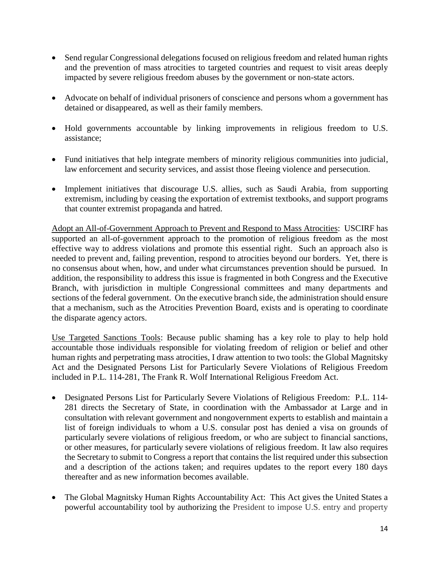- Send regular Congressional delegations focused on religious freedom and related human rights and the prevention of mass atrocities to targeted countries and request to visit areas deeply impacted by severe religious freedom abuses by the government or non-state actors.
- Advocate on behalf of individual prisoners of conscience and persons whom a government has detained or disappeared, as well as their family members.
- Hold governments accountable by linking improvements in religious freedom to U.S. assistance;
- Fund initiatives that help integrate members of minority religious communities into judicial, law enforcement and security services, and assist those fleeing violence and persecution.
- Implement initiatives that discourage U.S. allies, such as Saudi Arabia, from supporting extremism, including by ceasing the exportation of extremist textbooks, and support programs that counter extremist propaganda and hatred.

Adopt an All-of-Government Approach to Prevent and Respond to Mass Atrocities: USCIRF has supported an all-of-government approach to the promotion of religious freedom as the most effective way to address violations and promote this essential right. Such an approach also is needed to prevent and, failing prevention, respond to atrocities beyond our borders. Yet, there is no consensus about when, how, and under what circumstances prevention should be pursued. In addition, the responsibility to address this issue is fragmented in both Congress and the Executive Branch, with jurisdiction in multiple Congressional committees and many departments and sections of the federal government. On the executive branch side, the administration should ensure that a mechanism, such as the Atrocities Prevention Board, exists and is operating to coordinate the disparate agency actors.

Use Targeted Sanctions Tools: Because public shaming has a key role to play to help hold accountable those individuals responsible for violating freedom of religion or belief and other human rights and perpetrating mass atrocities, I draw attention to two tools: the Global Magnitsky Act and the Designated Persons List for Particularly Severe Violations of Religious Freedom included in P.L. 114-281, The Frank R. Wolf International Religious Freedom Act.

- Designated Persons List for Particularly Severe Violations of Religious Freedom: P.L. 114- 281 directs the Secretary of State, in coordination with the Ambassador at Large and in consultation with relevant government and nongovernment experts to establish and maintain a list of foreign individuals to whom a U.S. consular post has denied a visa on grounds of particularly severe violations of religious freedom, or who are subject to financial sanctions, or other measures, for particularly severe violations of religious freedom. It law also requires the Secretary to submit to Congress a report that contains the list required under this subsection and a description of the actions taken; and requires updates to the report every 180 days thereafter and as new information becomes available.
- The Global Magnitsky Human Rights Accountability Act: This Act gives the United States a powerful accountability tool by authorizing the President to impose U.S. entry and property